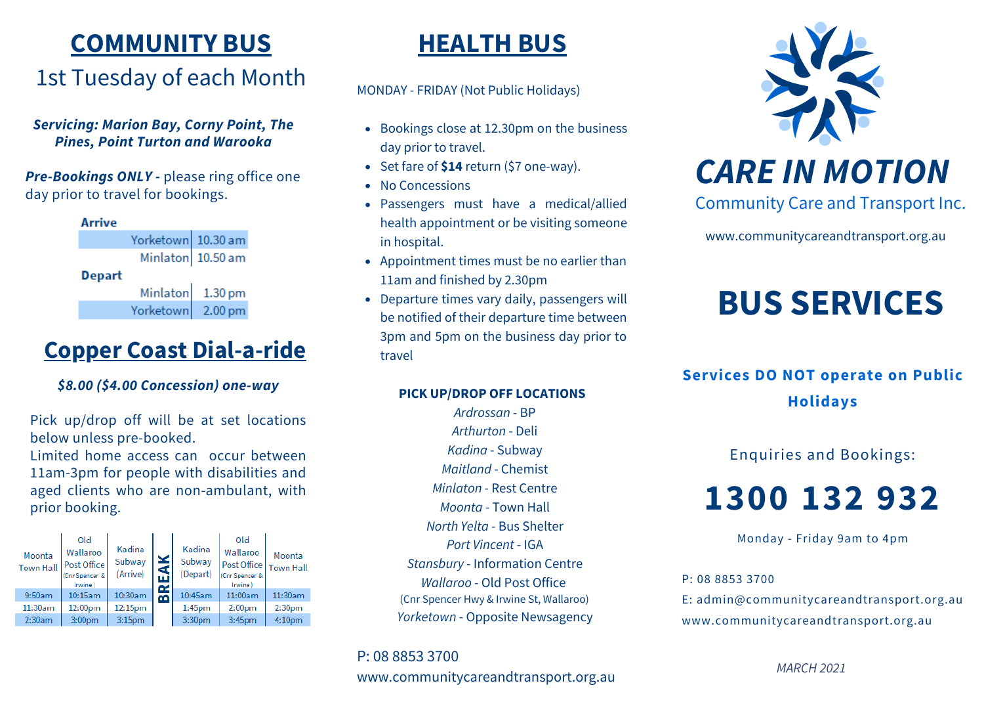# **COMMUNITY BUS**

## 1st Tuesday of each Month

#### *Servicing: Marion Bay, Corny Point, The Pines, Point Turton and Warooka*

*Pre-Bookings ONLY -* please ring office one day prior to travel for bookings.

#### **Arrive**

Yorketown 10.30 am Minlaton 10.50 am

**Depart** 

 $1.30 \text{ pm}$ Minlaton Yorketown  $2.00 \text{ pm}$ 

## **Copper Coast Dial-a-ride**

## *\$8.00 (\$4.00 Concession) one-way*

Pick up/drop off will be at set locations below unless pre-booked.

Limited home access can occur between 11am-3pm for people with disabilities and aged clients who are non-ambulant, with prior booking.

| Moonta<br><b>Town Hall</b> | Old<br>Wallaroo<br><b>Post Office</b><br>(Cnr Spencer &<br>Irwine | Kadina<br>Subway<br>(Arrive) |               | Kadina<br>Subway<br>(Depart) | Old<br>Wallaroo<br>Post Office<br>(Cnr Spencer &<br>Irwine) | Moonta<br><b>Town Hall</b> |
|----------------------------|-------------------------------------------------------------------|------------------------------|---------------|------------------------------|-------------------------------------------------------------|----------------------------|
| 9:50am                     | 10:15am                                                           | 10:30am                      | $\alpha$<br>മ | 10:45am                      | 11:00am                                                     | 11:30am                    |
| 11:30am                    | 12:00pm                                                           | 12:15pm                      |               | 1:45 <sub>pm</sub>           | 2:00 <sub>pm</sub>                                          | 2:30 <sub>pm</sub>         |
| 2:30am                     | 3:00 <sub>pm</sub>                                                | 3:15 <sub>pm</sub>           |               | 3:30 <sub>pm</sub>           | 3:45pm                                                      | 4:10 <sub>pm</sub>         |

## **HEALTH BUS**

MONDAY - FRIDAY (Not Public Holidays)

- Bookings close at 12.30pm on the business day prior to travel.
- Set fare of \$14 return (\$7 one-way).
- No Concessions
- Passengers must have a medical/allied health appointment or be visiting someone in hospital.
- Appointment times must be no earlier than 11am and finished by 2.30pm
- Departure times vary daily, passengers will be notified of their departure time between 3pm and 5pm on the business day prior to travel

### **PICK UP/DROP OFF LOCATIONS**

*Ardrossan* - BP *Arthurton* - Deli *Kadina* - Subway *Maitland* - Chemist *Minlaton* - Rest Centre *Moonta* - Town Hall *North Yelta* - Bus Shelter *Port Vincent* - IGA *Stansbury* - Information Centre *Wallaroo* - Old Post Office (Cnr Spencer Hwy & Irwine St, Wallaroo) *Yorketown* - Opposite Newsagency

P: 08 8853 3700 www.communitycareandtransport.org.au



# *CARE IN MOTION*

Community Care and Transport Inc.

www.communitycareandtransport.org.au

# **BUS SERVICES**

## **Services DO NOT operate on Public Holidays**

Enquiries and Bookings:

# **1300 132 932**

Monday - Friday 9am to 4pm

P: 08 8853 3700

E: admin@communitycareandtransport.org.au www.communitycareandtransport.org.au

*MARCH 2021*